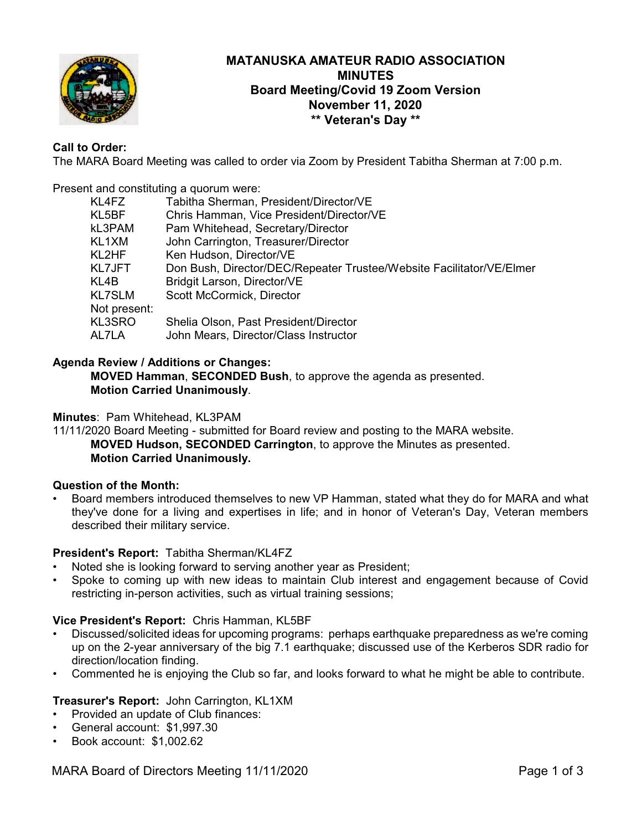

# **MATANUSKA AMATEUR RADIO ASSOCIATION MINUTES Board Meeting/Covid 19 Zoom Version November 11, 2020 \*\* Veteran's Day \*\***

# **Call to Order:**

The MARA Board Meeting was called to order via Zoom by President Tabitha Sherman at 7:00 p.m.

Present and constituting a quorum were:

| KL4FZ         | Tabitha Sherman, President/Director/VE                               |
|---------------|----------------------------------------------------------------------|
| KL5BF         | Chris Hamman, Vice President/Director/VE                             |
| kL3PAM        | Pam Whitehead, Secretary/Director                                    |
| KL1XM         | John Carrington, Treasurer/Director                                  |
| KL2HF         | Ken Hudson, Director/VE                                              |
| KL7JFT        | Don Bush, Director/DEC/Repeater Trustee/Website Facilitator/VE/Elmer |
| KL4B          | Bridgit Larson, Director/VE                                          |
| <b>KL7SLM</b> | Scott McCormick, Director                                            |
| Not present:  |                                                                      |
| KL3SRO        | Shelia Olson, Past President/Director                                |
| AL7LA         | John Mears, Director/Class Instructor                                |

### **Agenda Review / Additions or Changes:**

**MOVED Hamman**, **SECONDED Bush**, to approve the agenda as presented. **Motion Carried Unanimously**.

### **Minutes**: Pam Whitehead, KL3PAM

11/11/2020 Board Meeting - submitted for Board review and posting to the MARA website. **MOVED Hudson, SECONDED Carrington**, to approve the Minutes as presented. **Motion Carried Unanimously.**

### **Question of the Month:**

• Board members introduced themselves to new VP Hamman, stated what they do for MARA and what they've done for a living and expertises in life; and in honor of Veteran's Day, Veteran members described their military service.

### **President's Report:** Tabitha Sherman/KL4FZ

- Noted she is looking forward to serving another year as President;
- Spoke to coming up with new ideas to maintain Club interest and engagement because of Covid restricting in-person activities, such as virtual training sessions;

### **Vice President's Report:** Chris Hamman, KL5BF

- Discussed/solicited ideas for upcoming programs: perhaps earthquake preparedness as we're coming up on the 2-year anniversary of the big 7.1 earthquake; discussed use of the Kerberos SDR radio for direction/location finding.
- Commented he is enjoying the Club so far, and looks forward to what he might be able to contribute.

### **Treasurer's Report:** John Carrington, KL1XM

- Provided an update of Club finances:
- General account: \$1,997.30
- Book account: \$1,002.62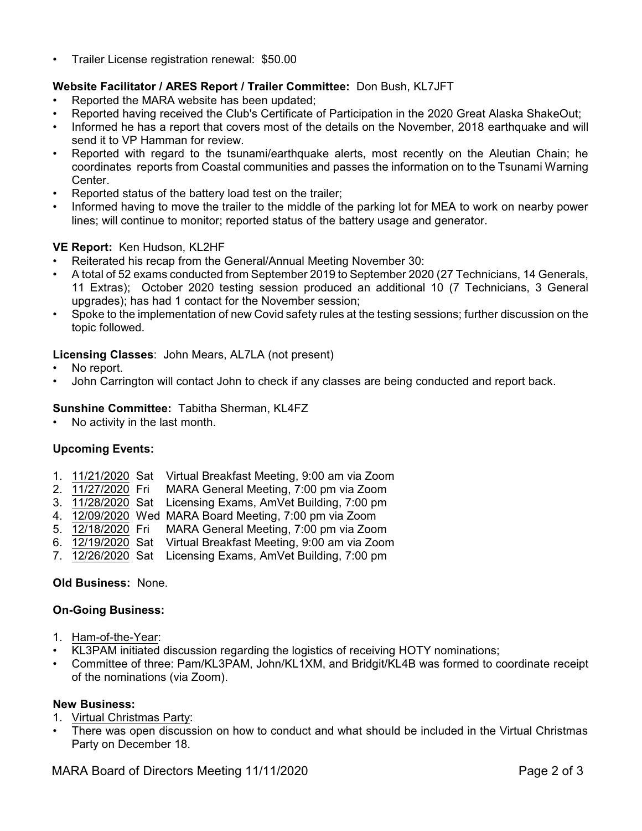• Trailer License registration renewal: \$50.00

# **Website Facilitator / ARES Report / Trailer Committee:** Don Bush, KL7JFT

- Reported the MARA website has been updated;
- Reported having received the Club's Certificate of Participation in the 2020 Great Alaska ShakeOut;
- Informed he has a report that covers most of the details on the November, 2018 earthquake and will send it to VP Hamman for review.
- Reported with regard to the tsunami/earthquake alerts, most recently on the Aleutian Chain; he coordinates reports from Coastal communities and passes the information on to the Tsunami Warning Center.
- Reported status of the battery load test on the trailer;
- Informed having to move the trailer to the middle of the parking lot for MEA to work on nearby power lines; will continue to monitor; reported status of the battery usage and generator.

# **VE Report:** Ken Hudson, KL2HF

- Reiterated his recap from the General/Annual Meeting November 30:
- A total of 52 exams conducted from September 2019 to September 2020 (27 Technicians, 14 Generals, 11 Extras); October 2020 testing session produced an additional 10 (7 Technicians, 3 General upgrades); has had 1 contact for the November session;
- Spoke to the implementation of new Covid safety rules at the testing sessions; further discussion on the topic followed.

# **Licensing Classes**: John Mears, AL7LA (not present)

- No report.
- John Carrington will contact John to check if any classes are being conducted and report back.

### **Sunshine Committee:** Tabitha Sherman, KL4FZ

• No activity in the last month.

# **Upcoming Events:**

- 1. 11/21/2020 Sat Virtual Breakfast Meeting, 9:00 am via Zoom
- 2. 11/27/2020 Fri MARA General Meeting, 7:00 pm via Zoom
- 3. 11/28/2020 Sat Licensing Exams, AmVet Building, 7:00 pm
- 4. 12/09/2020 Wed MARA Board Meeting, 7:00 pm via Zoom
- 5. 12/18/2020 Fri MARA General Meeting, 7:00 pm via Zoom
- 6. 12/19/2020 Sat Virtual Breakfast Meeting, 9:00 am via Zoom
- 7. 12/26/2020 Sat Licensing Exams, AmVet Building, 7:00 pm

# **Old Business:** None.

### **On-Going Business:**

- 1. Ham-of-the-Year:
- KL3PAM initiated discussion regarding the logistics of receiving HOTY nominations;
- Committee of three: Pam/KL3PAM, John/KL1XM, and Bridgit/KL4B was formed to coordinate receipt of the nominations (via Zoom).

### **New Business:**

- 1. Virtual Christmas Party:
- There was open discussion on how to conduct and what should be included in the Virtual Christmas Party on December 18.